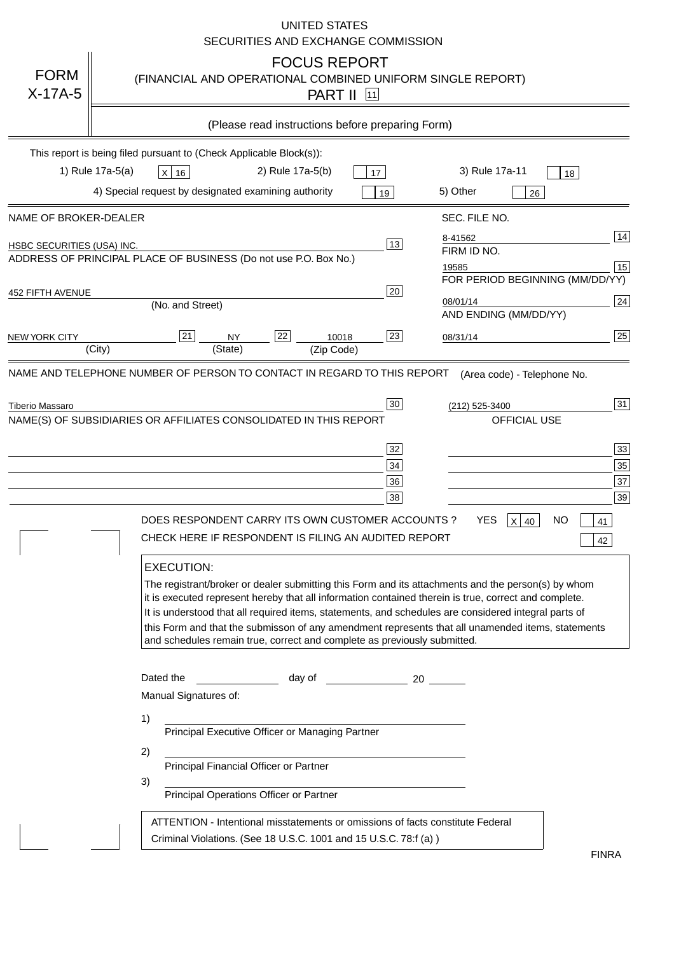|                                   | <b>UNITED STATES</b><br>SECURITIES AND EXCHANGE COMMISSION                                                                                                                                                                                                                                                                                                                                                                                                                                                                                                                                                                                                                                                                                                                                                                                                                                                                                                                                  |
|-----------------------------------|---------------------------------------------------------------------------------------------------------------------------------------------------------------------------------------------------------------------------------------------------------------------------------------------------------------------------------------------------------------------------------------------------------------------------------------------------------------------------------------------------------------------------------------------------------------------------------------------------------------------------------------------------------------------------------------------------------------------------------------------------------------------------------------------------------------------------------------------------------------------------------------------------------------------------------------------------------------------------------------------|
| <b>FORM</b><br>$X-17A-5$          | <b>FOCUS REPORT</b><br>(FINANCIAL AND OPERATIONAL COMBINED UNIFORM SINGLE REPORT)<br><b>PART II</b> [11]                                                                                                                                                                                                                                                                                                                                                                                                                                                                                                                                                                                                                                                                                                                                                                                                                                                                                    |
|                                   | (Please read instructions before preparing Form)                                                                                                                                                                                                                                                                                                                                                                                                                                                                                                                                                                                                                                                                                                                                                                                                                                                                                                                                            |
|                                   | This report is being filed pursuant to (Check Applicable Block(s)):                                                                                                                                                                                                                                                                                                                                                                                                                                                                                                                                                                                                                                                                                                                                                                                                                                                                                                                         |
|                                   | 1) Rule 17a-5(a)<br>3) Rule 17a-11<br>2) Rule 17a-5(b)<br>$X$ 16<br>17<br>18                                                                                                                                                                                                                                                                                                                                                                                                                                                                                                                                                                                                                                                                                                                                                                                                                                                                                                                |
|                                   | 4) Special request by designated examining authority<br>5) Other<br>19<br>26                                                                                                                                                                                                                                                                                                                                                                                                                                                                                                                                                                                                                                                                                                                                                                                                                                                                                                                |
| NAME OF BROKER-DEALER             | SEC. FILE NO.                                                                                                                                                                                                                                                                                                                                                                                                                                                                                                                                                                                                                                                                                                                                                                                                                                                                                                                                                                               |
| <b>HSBC SECURITIES (USA) INC.</b> | 14<br>8-41562<br>$ 13\rangle$<br>FIRM ID NO.<br>ADDRESS OF PRINCIPAL PLACE OF BUSINESS (Do not use P.O. Box No.)<br>15                                                                                                                                                                                                                                                                                                                                                                                                                                                                                                                                                                                                                                                                                                                                                                                                                                                                      |
|                                   | 19585<br>FOR PERIOD BEGINNING (MM/DD/YY)                                                                                                                                                                                                                                                                                                                                                                                                                                                                                                                                                                                                                                                                                                                                                                                                                                                                                                                                                    |
| 452 FIFTH AVENUE                  | 20<br>24<br>08/01/14<br>(No. and Street)<br>AND ENDING (MM/DD/YY)                                                                                                                                                                                                                                                                                                                                                                                                                                                                                                                                                                                                                                                                                                                                                                                                                                                                                                                           |
| <b>NEW YORK CITY</b>              | 25<br>21<br>22<br>23<br><b>NY</b><br>10018<br>08/31/14<br>(City)<br>(State)<br>(Zip Code)                                                                                                                                                                                                                                                                                                                                                                                                                                                                                                                                                                                                                                                                                                                                                                                                                                                                                                   |
| Tiberio Massaro                   | 31<br>30<br>(212) 525-3400<br>NAME(S) OF SUBSIDIARIES OR AFFILIATES CONSOLIDATED IN THIS REPORT<br><b>OFFICIAL USE</b><br>33<br>32<br>35<br>$34$<br>37<br>36<br>39<br>38<br>DOES RESPONDENT CARRY ITS OWN CUSTOMER ACCOUNTS?<br>YES<br><b>NO</b><br>$X$ 40<br>41<br>CHECK HERE IF RESPONDENT IS FILING AN AUDITED REPORT<br>42<br><b>EXECUTION:</b><br>The registrant/broker or dealer submitting this Form and its attachments and the person(s) by whom<br>it is executed represent hereby that all information contained therein is true, correct and complete.<br>It is understood that all required items, statements, and schedules are considered integral parts of<br>this Form and that the submisson of any amendment represents that all unamended items, statements<br>and schedules remain true, correct and complete as previously submitted.<br>Dated the<br>day of the contract and a contract a contract of the contract of the contract of the contract of the contract o |
|                                   | Manual Signatures of:<br>1)<br>Principal Executive Officer or Managing Partner<br>2)<br>Principal Financial Officer or Partner<br>3)<br>Principal Operations Officer or Partner<br>ATTENTION - Intentional misstatements or omissions of facts constitute Federal<br>Criminal Violations. (See 18 U.S.C. 1001 and 15 U.S.C. 78:f (a))                                                                                                                                                                                                                                                                                                                                                                                                                                                                                                                                                                                                                                                       |
|                                   | <b>FINRA</b>                                                                                                                                                                                                                                                                                                                                                                                                                                                                                                                                                                                                                                                                                                                                                                                                                                                                                                                                                                                |

FINRA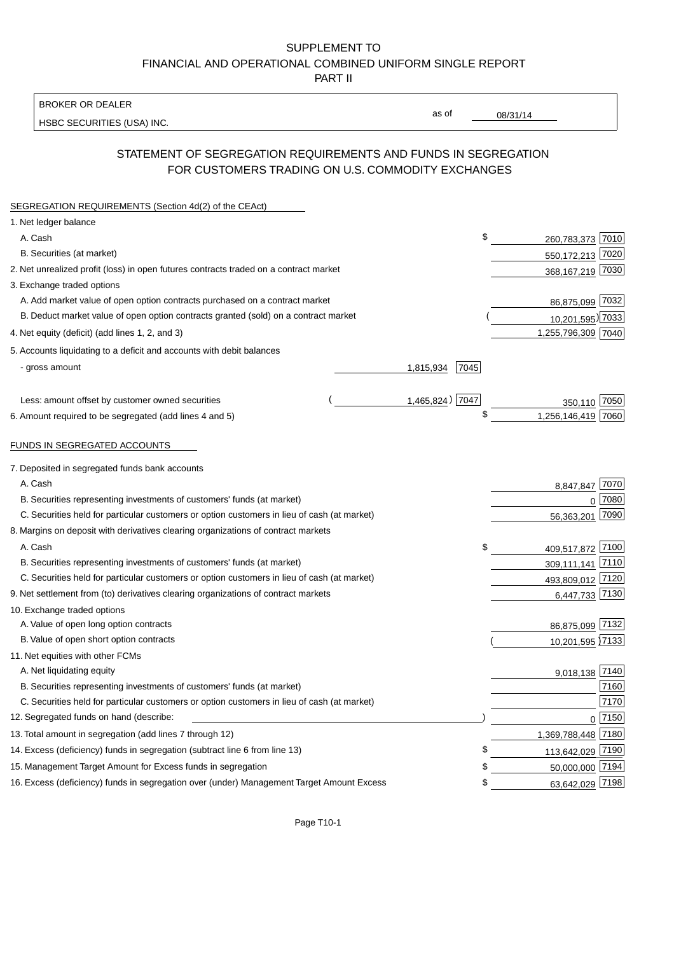## SUPPLEMENT TO FINANCIAL AND OPERATIONAL COMBINED UNIFORM SINGLE REPORT PART II

BROKER OR DEALER

HSBC SECURITIES (USA) INC.

08/31/14

as of

## STATEMENT OF SEGREGATION REQUIREMENTS AND FUNDS IN SEGREGATION FOR CUSTOMERS TRADING ON U.S. COMMODITY EXCHANGES

| SEGREGATION REQUIREMENTS (Section 4d(2) of the CEAct)                                       |                   |                    |          |
|---------------------------------------------------------------------------------------------|-------------------|--------------------|----------|
| 1. Net ledger balance                                                                       |                   |                    |          |
| A. Cash                                                                                     | \$                | 260,783,373 7010   |          |
| B. Securities (at market)                                                                   |                   | 550,172,213 7020   |          |
| 2. Net unrealized profit (loss) in open futures contracts traded on a contract market       |                   | 368,167,219 7030   |          |
| 3. Exchange traded options                                                                  |                   |                    |          |
| A. Add market value of open option contracts purchased on a contract market                 |                   | 86,875,099 7032    |          |
| B. Deduct market value of open option contracts granted (sold) on a contract market         |                   | 10,201,595) 7033   |          |
| 4. Net equity (deficit) (add lines 1, 2, and 3)                                             |                   | 1,255,796,309 7040 |          |
| 5. Accounts liquidating to a deficit and accounts with debit balances                       |                   |                    |          |
| - gross amount                                                                              | 7045<br>1,815,934 |                    |          |
|                                                                                             |                   |                    |          |
| Less: amount offset by customer owned securities                                            | 1,465,824) 7047   | 350,110 7050       |          |
| 6. Amount required to be segregated (add lines 4 and 5)                                     | \$                | 1,256,146,419 7060 |          |
| FUNDS IN SEGREGATED ACCOUNTS                                                                |                   |                    |          |
| 7. Deposited in segregated funds bank accounts                                              |                   |                    |          |
| A. Cash                                                                                     |                   | 8,847,847 7070     |          |
| B. Securities representing investments of customers' funds (at market)                      |                   | $\Omega$           | 7080     |
| C. Securities held for particular customers or option customers in lieu of cash (at market) |                   | 56,363,201         | 7090     |
| 8. Margins on deposit with derivatives clearing organizations of contract markets           |                   |                    |          |
| A. Cash                                                                                     | \$                | 409,517,872 7100   |          |
| B. Securities representing investments of customers' funds (at market)                      |                   | 309,111,141 7110   |          |
| C. Securities held for particular customers or option customers in lieu of cash (at market) |                   | 493,809,012 7120   |          |
| 9. Net settlement from (to) derivatives clearing organizations of contract markets          |                   | 6,447,733 7130     |          |
| 10. Exchange traded options                                                                 |                   |                    |          |
| A. Value of open long option contracts                                                      |                   | 86,875,099 7132    |          |
| B. Value of open short option contracts                                                     |                   | 10,201,595 7133    |          |
| 11. Net equities with other FCMs                                                            |                   |                    |          |
| A. Net liquidating equity                                                                   |                   | 9,018,138 7140     |          |
| B. Securities representing investments of customers' funds (at market)                      |                   |                    | 7160     |
| C. Securities held for particular customers or option customers in lieu of cash (at market) |                   |                    | 7170     |
| 12. Segregated funds on hand (describe:                                                     |                   |                    | $0$ 7150 |
| 13. Total amount in segregation (add lines 7 through 12)                                    |                   | 1,369,788,448 7180 |          |
| 14. Excess (deficiency) funds in segregation (subtract line 6 from line 13)                 | \$                | 113,642,029 7190   |          |
| 15. Management Target Amount for Excess funds in segregation                                | £                 | 50,000,000 7194    |          |
| 16. Excess (deficiency) funds in segregation over (under) Management Target Amount Excess   | \$                | 63,642,029 7198    |          |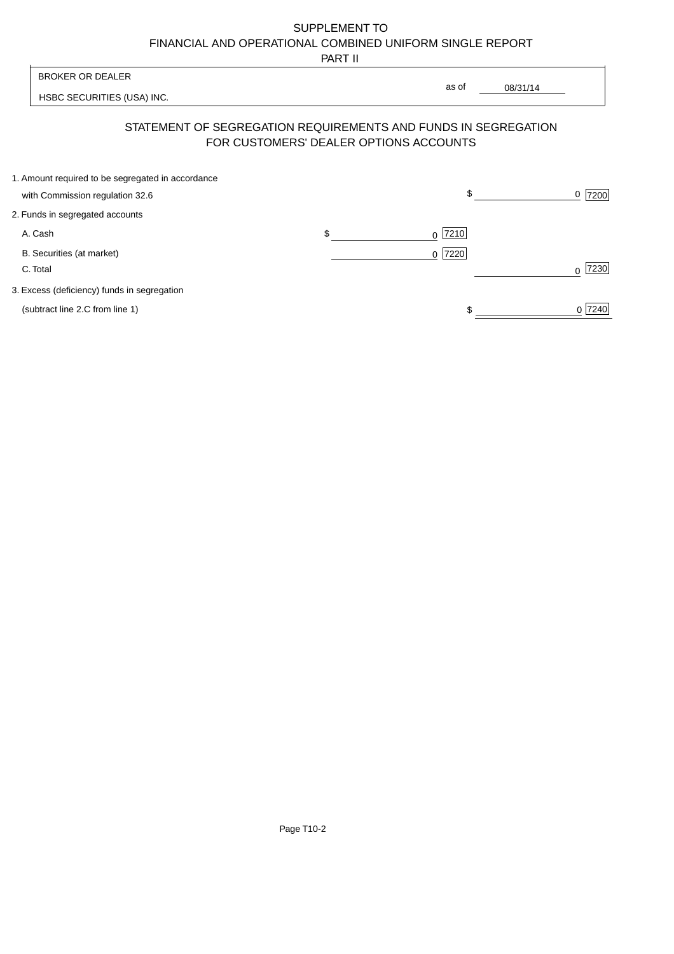# SUPPLEMENT TO FINANCIAL AND OPERATIONAL COMBINED UNIFORM SINGLE REPORT

PART II

 $\overline{\phantom{a}}$ 

| <b>BROKER OR DEALER</b>                                                              |                                        | as of     |          |                  |
|--------------------------------------------------------------------------------------|----------------------------------------|-----------|----------|------------------|
| HSBC SECURITIES (USA) INC.                                                           |                                        |           | 08/31/14 |                  |
| STATEMENT OF SEGREGATION REQUIREMENTS AND FUNDS IN SEGREGATION                       | FOR CUSTOMERS' DEALER OPTIONS ACCOUNTS |           |          |                  |
| 1. Amount required to be segregated in accordance<br>with Commission regulation 32.6 |                                        | \$        |          | 7200<br>0        |
| 2. Funds in segregated accounts                                                      |                                        |           |          |                  |
| A. Cash                                                                              | \$                                     | 7210<br>0 |          |                  |
| B. Securities (at market)<br>C. Total                                                |                                        | 7220<br>0 |          | 7230<br>$\Omega$ |
| 3. Excess (deficiency) funds in segregation                                          |                                        |           |          |                  |
| (subtract line 2.C from line 1)                                                      |                                        |           |          | 0 7240           |

 $\overline{1}$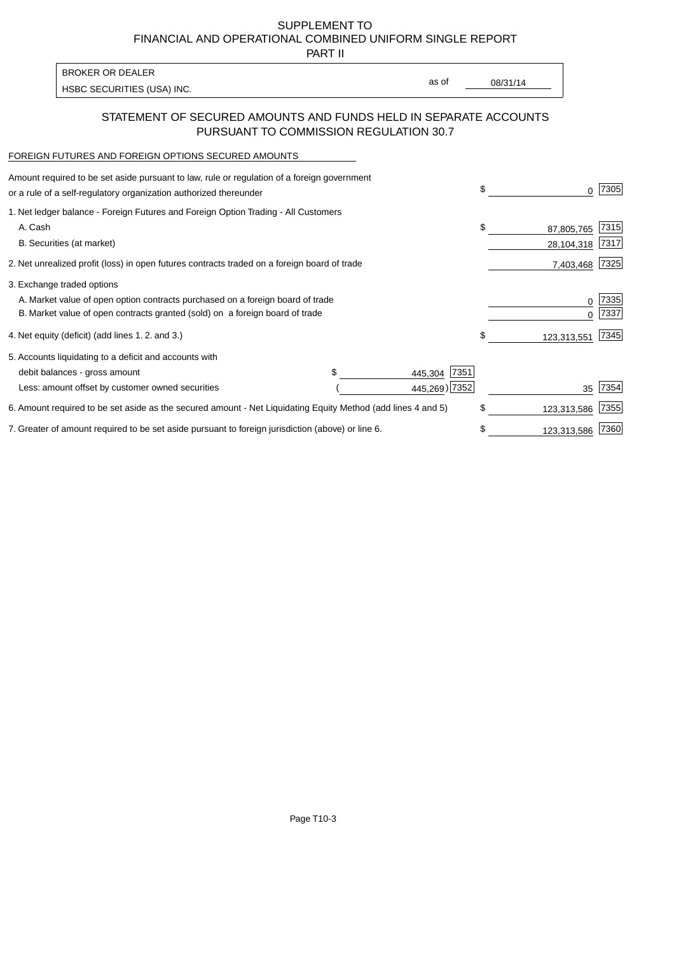SUPPLEMENT TO FINANCIAL AND OPERATIONAL COMBINED UNIFORM SINGLE REPORT

PART II

| <b>BROKER OR DEALER</b>    |       |          |
|----------------------------|-------|----------|
| HSBC SECURITIES (USA) INC. | as of | 08/31/14 |

### STATEMENT OF SECURED AMOUNTS AND FUNDS HELD IN SEPARATE ACCOUNTS PURSUANT TO COMMISSION REGULATION 30.7

#### FOREIGN FUTURES AND FOREIGN OPTIONS SECURED AMOUNTS

| Amount required to be set aside pursuant to law, rule or regulation of a foreign government<br>or a rule of a self-regulatory organization authorized thereunder | \$            | O.          | 7305 |
|------------------------------------------------------------------------------------------------------------------------------------------------------------------|---------------|-------------|------|
| 1. Net ledger balance - Foreign Futures and Foreign Option Trading - All Customers                                                                               |               |             |      |
| A. Cash                                                                                                                                                          | \$            | 87,805,765  | 7315 |
| B. Securities (at market)                                                                                                                                        |               | 28,104,318  | 7317 |
| 2. Net unrealized profit (loss) in open futures contracts traded on a foreign board of trade                                                                     |               | 7,403,468   | 7325 |
| 3. Exchange traded options                                                                                                                                       |               |             |      |
| A. Market value of open option contracts purchased on a foreign board of trade                                                                                   |               | 0           | 7335 |
| B. Market value of open contracts granted (sold) on a foreign board of trade                                                                                     |               |             | 7337 |
| 4. Net equity (deficit) (add lines 1. 2. and 3.)                                                                                                                 | \$            | 123,313,551 | 7345 |
| 5. Accounts liquidating to a deficit and accounts with                                                                                                           |               |             |      |
| debit balances - gross amount<br>445,304                                                                                                                         | 7351          |             |      |
| Less: amount offset by customer owned securities                                                                                                                 | 445,269) 7352 | 35          | 7354 |
| 6. Amount required to be set aside as the secured amount - Net Liquidating Equity Method (add lines 4 and 5)                                                     | \$            | 123,313,586 | 7355 |
| 7. Greater of amount required to be set aside pursuant to foreign jurisdiction (above) or line 6.                                                                | S             | 123,313,586 | 7360 |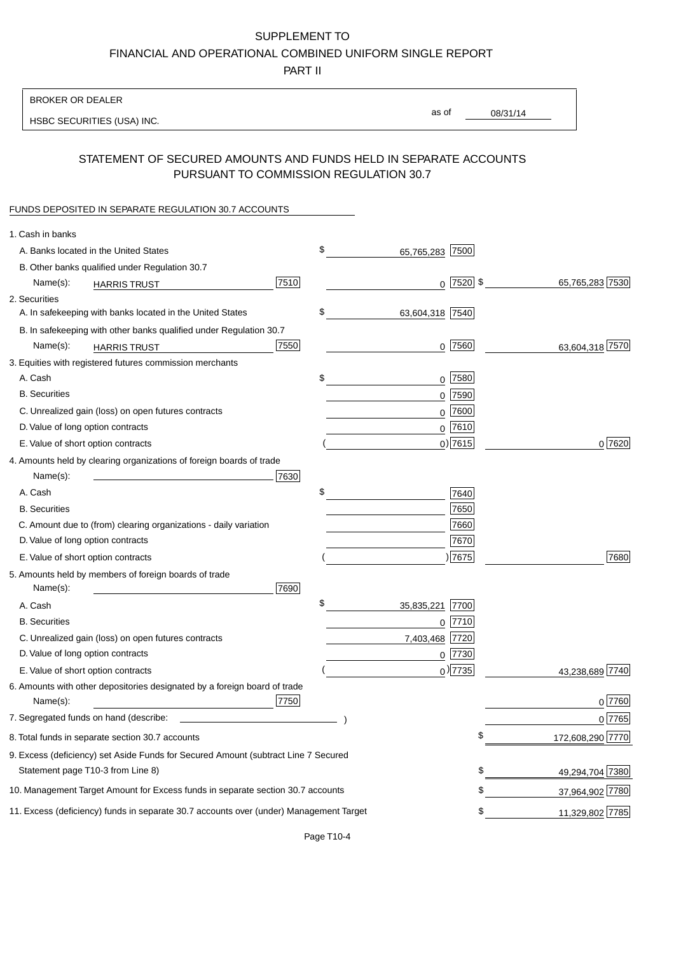# SUPPLEMENT TO

FINANCIAL AND OPERATIONAL COMBINED UNIFORM SINGLE REPORT

PART II

### BROKER OR DEALER

HSBC SECURITIES (USA) INC.

08/31/14 as of

## STATEMENT OF SECURED AMOUNTS AND FUNDS HELD IN SEPARATE ACCOUNTS PURSUANT TO COMMISSION REGULATION 30.7

#### FUNDS DEPOSITED IN SEPARATE REGULATION 30.7 ACCOUNTS

| 1. Cash in banks                                                                             |                  |
|----------------------------------------------------------------------------------------------|------------------|
| \$<br>A. Banks located in the United States<br>7500<br>65,765,283                            |                  |
| B. Other banks qualified under Regulation 30.7                                               |                  |
| $0$  7520  \$<br>7510<br>Name(s):<br><b>HARRIS TRUST</b>                                     | 65,765,283 7530  |
| 2. Securities                                                                                |                  |
| \$<br>A. In safekeeping with banks located in the United States<br>63,604,318 7540           |                  |
| B. In safekeeping with other banks qualified under Regulation 30.7                           |                  |
| 7550<br>$0$  7560 <br>Name(s):<br><b>HARRIS TRUST</b>                                        | 63,604,318 7570  |
| 3. Equities with registered futures commission merchants                                     |                  |
| A. Cash<br>\$<br>$0$ 7580                                                                    |                  |
| <b>B.</b> Securities<br>$0$ 7590                                                             |                  |
| $0$ 7600<br>C. Unrealized gain (loss) on open futures contracts                              |                  |
| $0$ 7610<br>D. Value of long option contracts                                                |                  |
| $0$ ) 7615<br>E. Value of short option contracts                                             | 0 7620           |
| 4. Amounts held by clearing organizations of foreign boards of trade                         |                  |
| 7630<br>Name(s):                                                                             |                  |
| \$<br>A. Cash<br>7640                                                                        |                  |
| 7650<br><b>B.</b> Securities                                                                 |                  |
| C. Amount due to (from) clearing organizations - daily variation<br>7660                     |                  |
| D. Value of long option contracts<br>7670                                                    |                  |
| )7675<br>E. Value of short option contracts                                                  | 7680             |
| 5. Amounts held by members of foreign boards of trade                                        |                  |
| Name(s):<br>7690                                                                             |                  |
| \$<br>35,835,221<br>A. Cash<br>7700                                                          |                  |
| <b>B.</b> Securities<br>7710<br>0                                                            |                  |
| C. Unrealized gain (loss) on open futures contracts<br>7720<br>7,403,468                     |                  |
| D. Value of long option contracts<br>$0$ 7730                                                |                  |
| $_0$ ) 7735<br>E. Value of short option contracts                                            | 43,238,689 7740  |
| 6. Amounts with other depositories designated by a foreign board of trade                    |                  |
| 7750<br>Name(s):                                                                             | $0^{7760}$       |
| 7. Segregated funds on hand (describe:                                                       | $0$ 7765         |
| 8. Total funds in separate section 30.7 accounts<br>\$                                       | 172,608,290 7770 |
| 9. Excess (deficiency) set Aside Funds for Secured Amount (subtract Line 7 Secured           |                  |
| Statement page T10-3 from Line 8)<br>\$                                                      | 49,294,704 7380  |
| \$<br>10. Management Target Amount for Excess funds in separate section 30.7 accounts        | 37,964,902 7780  |
| 11. Excess (deficiency) funds in separate 30.7 accounts over (under) Management Target<br>\$ | 11,329,802 7785  |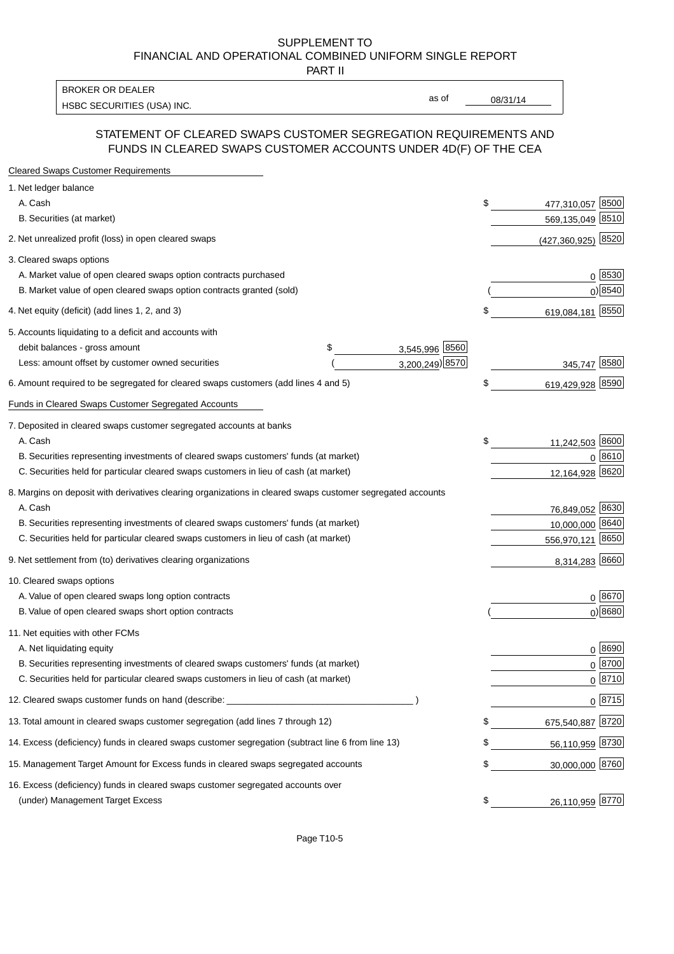#### SUPPLEMENT TO FINANCIAL AND OPERATIONAL COMBINED UNIFORM SINGLE REPORT PART II

HSBC SECURITIES (USA) INC. The contract of the contract of the contract of the contract of the contract of the contract of the contract of the contract of the contract of the contract of the contract of the contract of the BROKER OR DEALER

as of

## STATEMENT OF CLEARED SWAPS CUSTOMER SEGREGATION REQUIREMENTS AND FUNDS IN CLEARED SWAPS CUSTOMER ACCOUNTS UNDER 4D(F) OF THE CEA

| <b>Cleared Swaps Customer Requirements</b>                                                                  |                      |    |                         |
|-------------------------------------------------------------------------------------------------------------|----------------------|----|-------------------------|
| 1. Net ledger balance                                                                                       |                      |    |                         |
| A. Cash                                                                                                     |                      | \$ | 8500<br>477,310,057     |
| B. Securities (at market)                                                                                   |                      |    | 569,135,049 8510        |
| 2. Net unrealized profit (loss) in open cleared swaps                                                       |                      |    | 8520<br>(427, 360, 925) |
| 3. Cleared swaps options                                                                                    |                      |    |                         |
| A. Market value of open cleared swaps option contracts purchased                                            |                      |    | $0^{8530}$              |
| B. Market value of open cleared swaps option contracts granted (sold)                                       |                      |    | 0 8540                  |
| 4. Net equity (deficit) (add lines 1, 2, and 3)                                                             |                      | \$ | 619,084,181 8550        |
| 5. Accounts liquidating to a deficit and accounts with                                                      |                      |    |                         |
| debit balances - gross amount                                                                               | 3,545,996 8560<br>\$ |    |                         |
| Less: amount offset by customer owned securities                                                            | 3,200,249) 8570      |    | 345,747 8580            |
| 6. Amount required to be segregated for cleared swaps customers (add lines 4 and 5)                         |                      | S  | 619,429,928 8590        |
| Funds in Cleared Swaps Customer Segregated Accounts                                                         |                      |    |                         |
| 7. Deposited in cleared swaps customer segregated accounts at banks                                         |                      |    |                         |
| A. Cash                                                                                                     |                      | \$ | 11,242,503 8600         |
| B. Securities representing investments of cleared swaps customers' funds (at market)                        |                      |    | 0 8610                  |
| C. Securities held for particular cleared swaps customers in lieu of cash (at market)                       |                      |    | 8620<br>12,164,928      |
| 8. Margins on deposit with derivatives clearing organizations in cleared swaps customer segregated accounts |                      |    |                         |
| A. Cash                                                                                                     |                      |    | 76,849,052 8630         |
| B. Securities representing investments of cleared swaps customers' funds (at market)                        |                      |    | 8640<br>10,000,000      |
| C. Securities held for particular cleared swaps customers in lieu of cash (at market)                       |                      |    | 556,970,121 8650        |
| 9. Net settlement from (to) derivatives clearing organizations                                              |                      |    | 8,314,283 8660          |
| 10. Cleared swaps options                                                                                   |                      |    |                         |
| A. Value of open cleared swaps long option contracts                                                        |                      |    | $0^{8670}$              |
| B. Value of open cleared swaps short option contracts                                                       |                      |    | $0$ ) 8680              |
| 11. Net equities with other FCMs                                                                            |                      |    |                         |
| A. Net liquidating equity                                                                                   |                      |    | $0^{8690}$              |
| B. Securities representing investments of cleared swaps customers' funds (at market)                        |                      |    | $0^{8700}$              |
| C. Securities held for particular cleared swaps customers in lieu of cash (at market)                       |                      |    | 0 8710                  |
| 12. Cleared swaps customer funds on hand (describe:                                                         |                      |    | $0 \;  8715 $           |
| 13. Total amount in cleared swaps customer segregation (add lines 7 through 12)                             |                      |    | 675,540,887 8720        |
| 14. Excess (deficiency) funds in cleared swaps customer segregation (subtract line 6 from line 13)          |                      |    | 56,110,959 8730         |
| 15. Management Target Amount for Excess funds in cleared swaps segregated accounts                          |                      | \$ | 30,000,000 8760         |
| 16. Excess (deficiency) funds in cleared swaps customer segregated accounts over                            |                      |    |                         |
| (under) Management Target Excess                                                                            |                      | \$ | 26,110,959 8770         |